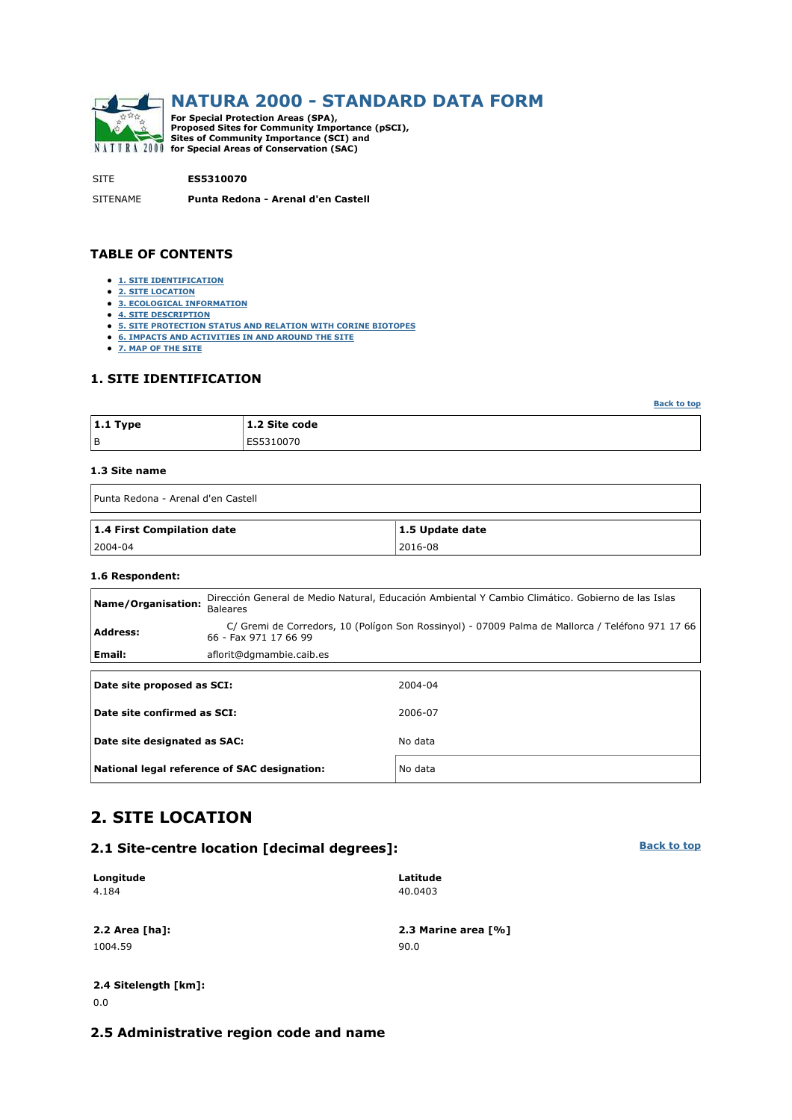

SITE **ES5310070**

SITENAME **Punta Redona - Arenal d'en Castell**

#### **TABLE OF CONTENTS**

- **1. SITE IDENTIFICATION**
- **2. SITE LOCATION**
- **3. ECOLOGICAL INFORMATION**
- **4. SITE DESCRIPTION**
- **5. SITE PROTECTION STATUS AND RELATION WITH CORINE BIOTOPES**
- **6. IMPACTS AND ACTIVITIES IN AND AROUND THE SITE**
- **7. MAP OF THE SITE**

#### **1. SITE IDENTIFICATION**

| $ 1.1$ Type | 1.2 Site code |
|-------------|---------------|
| l B         | ES5310070     |

#### **1.3 Site name**

| Punta Redona - Arenal d'en Castell |                 |
|------------------------------------|-----------------|
| 1.4 First Compilation date         | 1.5 Update date |
| $ 2004-04 $                        | 2016-08         |

#### **1.6 Respondent:**

| Name/Organisation:                                                                                                                           | Dirección General de Medio Natural, Educación Ambiental Y Cambio Climático. Gobierno de las Islas<br><b>Baleares</b> |         |  |  |  |  |  |  |
|----------------------------------------------------------------------------------------------------------------------------------------------|----------------------------------------------------------------------------------------------------------------------|---------|--|--|--|--|--|--|
| C/ Gremi de Corredors, 10 (Polígon Son Rossinyol) - 07009 Palma de Mallorca / Teléfono 971 17 66<br><b>Address:</b><br>66 - Fax 971 17 66 99 |                                                                                                                      |         |  |  |  |  |  |  |
| Email:                                                                                                                                       | aflorit@dgmambie.caib.es                                                                                             |         |  |  |  |  |  |  |
|                                                                                                                                              |                                                                                                                      |         |  |  |  |  |  |  |
| Date site proposed as SCI:                                                                                                                   |                                                                                                                      | 2004-04 |  |  |  |  |  |  |
| Date site confirmed as SCI:                                                                                                                  |                                                                                                                      | 2006-07 |  |  |  |  |  |  |
| Date site designated as SAC:                                                                                                                 |                                                                                                                      | No data |  |  |  |  |  |  |
|                                                                                                                                              | National legal reference of SAC designation:                                                                         | No data |  |  |  |  |  |  |

## **2. SITE LOCATION**

#### **2.1 Site-centre location [decimal degrees]:**

| Longitude | Latitude |
|-----------|----------|
| 4.184     | 40.0403  |
|           |          |

1004.59 90.0

**2.2 Area [ha]: 2.3 Marine area [%]**

#### **2.4 Sitelength [km]:** 0.0

## **2.5 Administrative region code and name**

**Back to top**

**Back to top**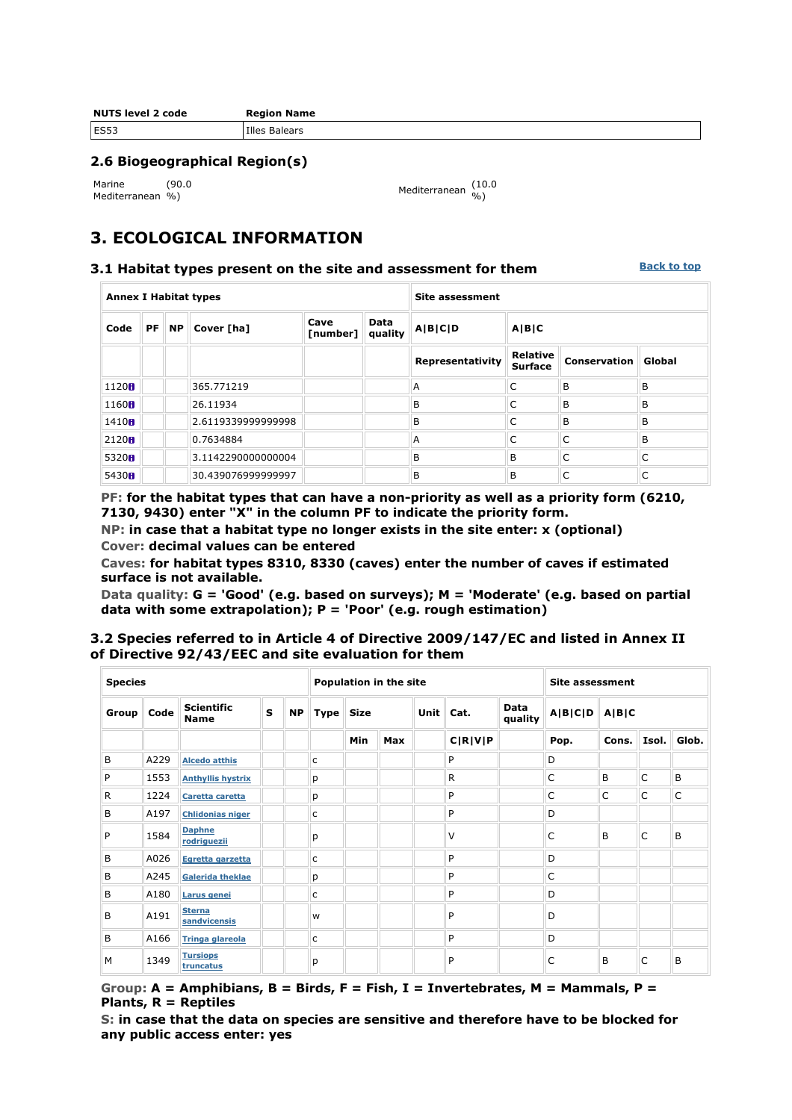| <b>NUTS level 2 code</b> | <b>Region Name</b> |
|--------------------------|--------------------|
| <b>ES53</b>              | Illes Balears      |

#### **2.6 Biogeographical Region(s)**

Marine Mediterranean %) (90.0

%) Mediterranean (10.0 %)

## **3. ECOLOGICAL INFORMATION**

#### **3.1 Habitat types present on the site and assessment for them**

**Back to top**

| <b>Annex I Habitat types</b> |    |           |                    |                  | <b>Site assessment</b> |                  |                                   |                     |        |  |
|------------------------------|----|-----------|--------------------|------------------|------------------------|------------------|-----------------------------------|---------------------|--------|--|
| Code                         | PF | <b>NP</b> | Cover [ha]         | Cave<br>[number] | Data<br>quality        | A B C D          | A B C                             |                     |        |  |
|                              |    |           |                    |                  |                        | Representativity | <b>Relative</b><br><b>Surface</b> | <b>Conservation</b> | Global |  |
| 1120 <sub>0</sub>            |    |           | 365.771219         |                  |                        | A                | C                                 | B                   | B      |  |
| 1160H                        |    |           | 26.11934           |                  |                        | B                | C                                 | B                   | B      |  |
| 1410 <sub>ii</sub>           |    |           | 2.6119339999999998 |                  |                        | B                | C                                 | B                   | B      |  |
| 2120H                        |    |           | 0.7634884          |                  |                        | A                | C                                 | C                   | B      |  |
| 5320H                        |    |           | 3.1142290000000004 |                  |                        | B                | B                                 | C                   | C      |  |
| 5430H                        |    |           | 30.439076999999997 |                  |                        | B                | B                                 | C                   | C      |  |

**PF: for the habitat types that can have a non-priority as well as a priority form (6210, 7130, 9430) enter "X" in the column PF to indicate the priority form.** 

**NP: in case that a habitat type no longer exists in the site enter: x (optional) Cover: decimal values can be entered** 

**Caves: for habitat types 8310, 8330 (caves) enter the number of caves if estimated surface is not available.** 

**Data quality: G = 'Good' (e.g. based on surveys); M = 'Moderate' (e.g. based on partial data with some extrapolation); P = 'Poor' (e.g. rough estimation)** 

#### **3.2 Species referred to in Article 4 of Directive 2009/147/EC and listed in Annex II of Directive 92/43/EEC and site evaluation for them**

| <b>Species</b> |      |                                  |   | Population in the site |   |           |     |  |         | <b>Site assessment</b> |      |       |       |       |  |  |  |                   |  |                 |         |       |  |  |
|----------------|------|----------------------------------|---|------------------------|---|-----------|-----|--|---------|------------------------|------|-------|-------|-------|--|--|--|-------------------|--|-----------------|---------|-------|--|--|
| Group          | Code | <b>Scientific</b><br><b>Name</b> | S | <b>NP</b>              |   | Type Size |     |  |         |                        |      |       |       |       |  |  |  | Unit $\vert$ Cat. |  | Data<br>quality | A B C D | A B C |  |  |
|                |      |                                  |   |                        |   | Min       | Max |  | C R V P |                        | Pop. | Cons. | Isol. | Glob. |  |  |  |                   |  |                 |         |       |  |  |
| B              | A229 | <b>Alcedo atthis</b>             |   |                        | c |           |     |  | P       |                        | D    |       |       |       |  |  |  |                   |  |                 |         |       |  |  |
| P              | 1553 | <b>Anthyllis hystrix</b>         |   |                        | p |           |     |  | R.      |                        | C    | B     | C     | B     |  |  |  |                   |  |                 |         |       |  |  |
| R              | 1224 | Caretta caretta                  |   |                        | р |           |     |  | P       |                        | C    | C     | C     | C     |  |  |  |                   |  |                 |         |       |  |  |
| B              | A197 | <b>Chlidonias niger</b>          |   |                        | c |           |     |  | P       |                        | D    |       |       |       |  |  |  |                   |  |                 |         |       |  |  |
| P              | 1584 | <b>Daphne</b><br>rodriguezii     |   |                        | р |           |     |  | V       |                        | C    | B     | C     | B     |  |  |  |                   |  |                 |         |       |  |  |
| B              | A026 | Egretta garzetta                 |   |                        | c |           |     |  | P       |                        | D    |       |       |       |  |  |  |                   |  |                 |         |       |  |  |
| B              | A245 | <b>Galerida theklae</b>          |   |                        | р |           |     |  | P       |                        | C    |       |       |       |  |  |  |                   |  |                 |         |       |  |  |
| B              | A180 | Larus genei                      |   |                        | c |           |     |  | P       |                        | D    |       |       |       |  |  |  |                   |  |                 |         |       |  |  |
| B              | A191 | <b>Sterna</b><br>sandvicensis    |   |                        | W |           |     |  | P       |                        | D    |       |       |       |  |  |  |                   |  |                 |         |       |  |  |
| B              | A166 | <b>Tringa glareola</b>           |   |                        | c |           |     |  | P       |                        | D    |       |       |       |  |  |  |                   |  |                 |         |       |  |  |
| M              | 1349 | <b>Tursiops</b><br>truncatus     |   |                        | р |           |     |  | P       |                        | C    | B     | C     | B     |  |  |  |                   |  |                 |         |       |  |  |

**Group: A = Amphibians, B = Birds, F = Fish, I = Invertebrates, M = Mammals, P = Plants, R = Reptiles** 

**S: in case that the data on species are sensitive and therefore have to be blocked for any public access enter: yes**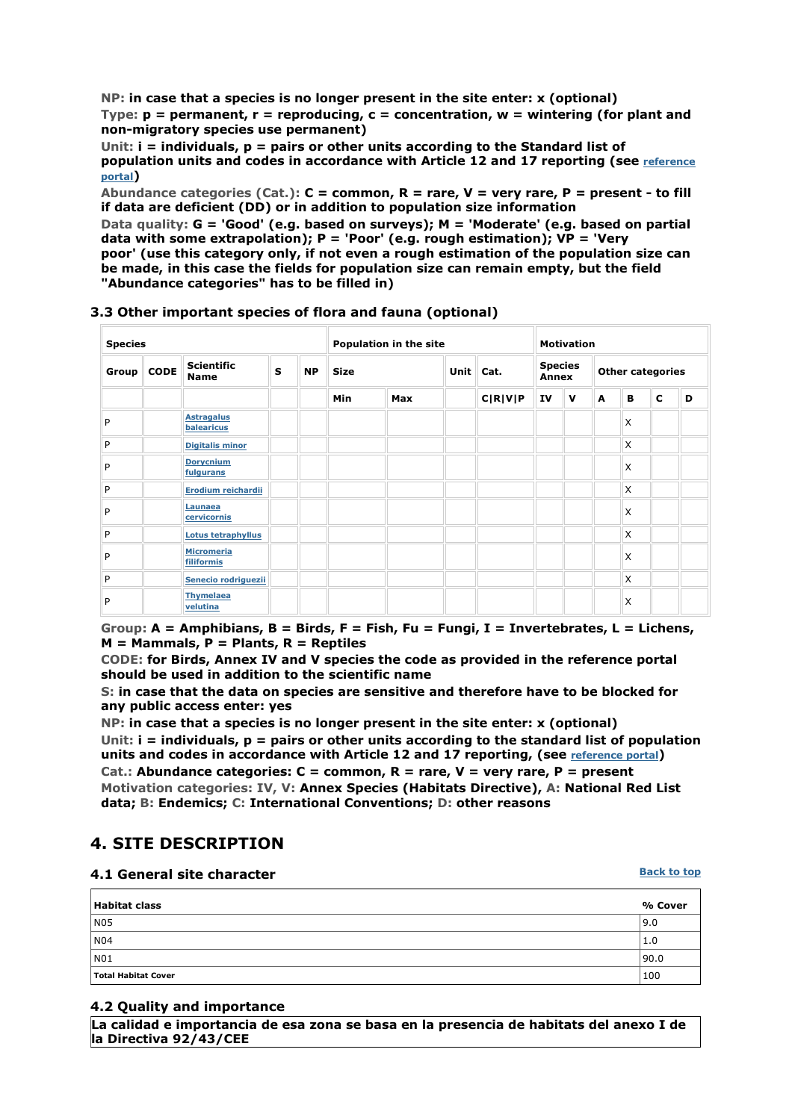**NP: in case that a species is no longer present in the site enter: x (optional) Type: p = permanent, r = reproducing, c = concentration, w = wintering (for plant and non-migratory species use permanent)** 

**Unit: i = individuals, p = pairs or other units according to the Standard list of population units and codes in accordance with Article 12 and 17 reporting (see reference portal)** 

**Abundance categories (Cat.): C = common, R = rare, V = very rare, P = present - to fill if data are deficient (DD) or in addition to population size information** 

**Data quality: G = 'Good' (e.g. based on surveys); M = 'Moderate' (e.g. based on partial data with some extrapolation); P = 'Poor' (e.g. rough estimation); VP = 'Very poor' (use this category only, if not even a rough estimation of the population size can be made, in this case the fields for population size can remain empty, but the field "Abundance categories" has to be filled in)** 

| <b>Species</b> |  |                                  |   |           | Population in the site |             |  | <b>Motivation</b> |                         |              |                         |          |             |   |
|----------------|--|----------------------------------|---|-----------|------------------------|-------------|--|-------------------|-------------------------|--------------|-------------------------|----------|-------------|---|
| Group CODE     |  | <b>Scientific</b><br><b>Name</b> | S | <b>NP</b> | <b>Size</b>            | <b>Unit</b> |  | Cat.              | <b>Species</b><br>Annex |              | <b>Other categories</b> |          |             |   |
|                |  |                                  |   |           | <b>Min</b>             | Max         |  | C R V P           | IV                      | $\mathbf{v}$ | A                       | в        | $\mathbf c$ | D |
| P              |  | <b>Astragalus</b><br>balearicus  |   |           |                        |             |  |                   |                         |              |                         | X        |             |   |
| P              |  | <b>Digitalis minor</b>           |   |           |                        |             |  |                   |                         |              |                         | X        |             |   |
| P              |  | <b>Dorycnium</b><br>fulgurans    |   |           |                        |             |  |                   |                         |              |                         | X        |             |   |
| P              |  | Erodium reichardii               |   |           |                        |             |  |                   |                         |              |                         | X        |             |   |
| P              |  | Launaea<br>cervicornis           |   |           |                        |             |  |                   |                         |              |                         | X        |             |   |
| P              |  | Lotus tetraphyllus               |   |           |                        |             |  |                   |                         |              |                         | X        |             |   |
| P              |  | <b>Micromeria</b><br>filiformis  |   |           |                        |             |  |                   |                         |              |                         | X        |             |   |
| P              |  | Senecio rodriguezii              |   |           |                        |             |  |                   |                         |              |                         | X        |             |   |
| P              |  | <b>Thymelaea</b><br>velutina     |   |           |                        |             |  |                   |                         |              |                         | $\times$ |             |   |

#### **3.3 Other important species of flora and fauna (optional)**

**Group: A = Amphibians, B = Birds, F = Fish, Fu = Fungi, I = Invertebrates, L = Lichens, M = Mammals, P = Plants, R = Reptiles** 

**CODE: for Birds, Annex IV and V species the code as provided in the reference portal should be used in addition to the scientific name** 

**S: in case that the data on species are sensitive and therefore have to be blocked for any public access enter: yes** 

**NP: in case that a species is no longer present in the site enter: x (optional) Unit: i = individuals, p = pairs or other units according to the standard list of population**  units and codes in accordance with Article 12 and 17 reporting, (see *reference portal*) **Cat.: Abundance categories: C = common, R = rare, V = very rare, P = present Motivation categories: IV, V: Annex Species (Habitats Directive), A: National Red List data; B: Endemics; C: International Conventions; D: other reasons** 

## **4. SITE DESCRIPTION**

#### **4.1 General site character**

| <b>Habitat class</b> | % Cover |
|----------------------|---------|
| N05                  | 9.0     |
| N <sub>04</sub>      | 1.0     |
| NO1                  | 90.0    |
| Total Habitat Cover  | 100     |

#### **4.2 Quality and importance**

**La calidad e importancia de esa zona se basa en la presencia de habitats del anexo I de la Directiva 92/43/CEE**

**Back to top**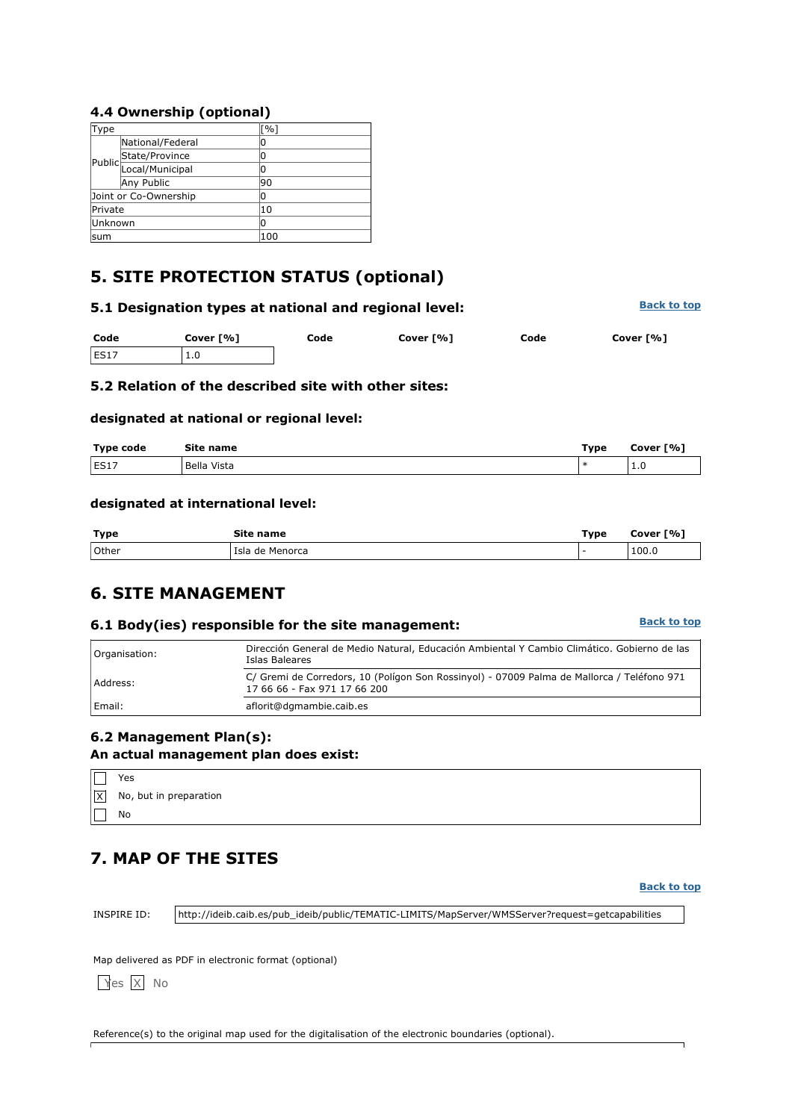### **4.4 Ownership (optional)**

| Type     |                       | $\lceil \frac{9}{6} \rceil$ |
|----------|-----------------------|-----------------------------|
|          | National/Federal      | 0                           |
|          |                       | 0                           |
|          | Public State/Province | Ω                           |
|          | Any Public            | 90                          |
|          | Joint or Co-Ownership | ი                           |
| Private  |                       | 10                          |
| lUnknown |                       | 0                           |
| sum      |                       | 100                         |

# **5. SITE PROTECTION STATUS (optional)**

| 5.1 Designation types at national and regional level: | <b>Back to top</b> |      |           |      |           |
|-------------------------------------------------------|--------------------|------|-----------|------|-----------|
| Code                                                  | Cover [%]          | Code | Cover [%] | Code | Cover [%] |
| ES17                                                  | 1.0                |      |           |      |           |

## **5.2 Relation of the described site with other sites:**

#### **designated at national or regional level:**

| <b>Type code</b> | Site name   | Type | Cover [%] |
|------------------|-------------|------|-----------|
| ES17             | Bella Vista |      | ⊥.∪       |

#### **designated at international level:**

| <b>Type</b> | Site name         | Type | Cover [%] |
|-------------|-------------------|------|-----------|
| 10ther      | l Isla de Menorca |      | 100.0     |

## **6. SITE MANAGEMENT**

### **6.1 Body(ies) responsible for the site management:**

**Back to top**

| Organisation: | Dirección General de Medio Natural, Educación Ambiental Y Cambio Climático. Gobierno de las<br>Islas Baleares              |  |
|---------------|----------------------------------------------------------------------------------------------------------------------------|--|
| Address:      | C/ Gremi de Corredors, 10 (Polígon Son Rossinyol) - 07009 Palma de Mallorca / Teléfono 971<br>17 66 66 - Fax 971 17 66 200 |  |
| Email:        | aflorit@dgmambie.caib.es                                                                                                   |  |

# **6.2 Management Plan(s):**

## **An actual management plan does exist:**

|           | Yes                                    |
|-----------|----------------------------------------|
|           | $\vert x \vert$ No, but in preparation |
| $\Box$ No |                                        |

# **7. MAP OF THE SITES**

**Back to top**

INSPIRE ID: http://ideib.caib.es/pub\_ideib/public/TEMATIC-LIMITS/MapServer/WMSServer?request=getcapabilities

Map delivered as PDF in electronic format (optional)

Yes X No

Reference(s) to the original map used for the digitalisation of the electronic boundaries (optional).